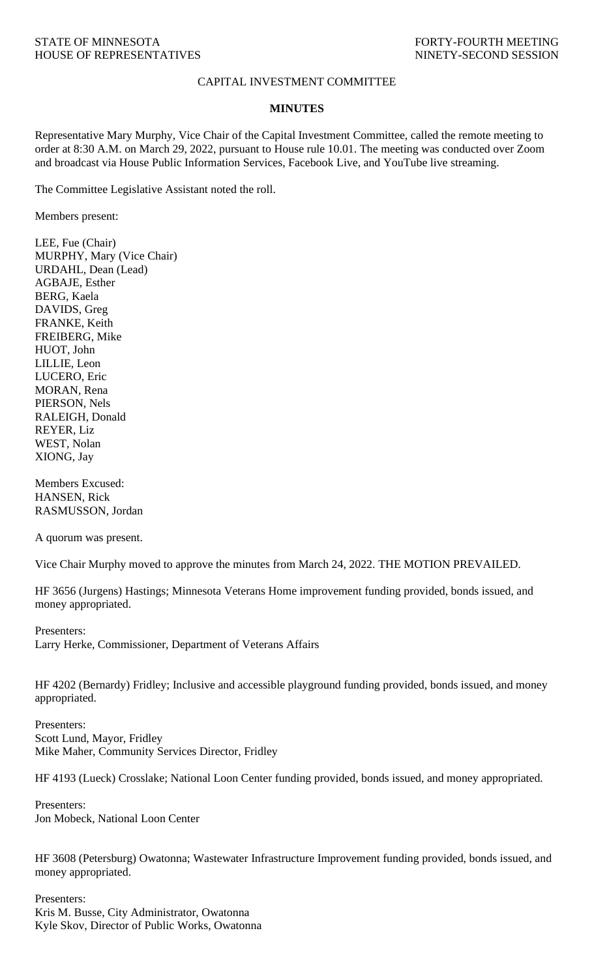## CAPITAL INVESTMENT COMMITTEE

## **MINUTES**

Representative Mary Murphy, Vice Chair of the Capital Investment Committee, called the remote meeting to order at 8:30 A.M. on March 29, 2022, pursuant to House rule 10.01. The meeting was conducted over Zoom and broadcast via House Public Information Services, Facebook Live, and YouTube live streaming.

The Committee Legislative Assistant noted the roll.

Members present:

LEE, Fue (Chair) MURPHY, Mary (Vice Chair) URDAHL, Dean (Lead) AGBAJE, Esther BERG, Kaela DAVIDS, Greg FRANKE, Keith FREIBERG, Mike HUOT, John LILLIE, Leon LUCERO, Eric MORAN, Rena PIERSON, Nels RALEIGH, Donald REYER, Liz WEST, Nolan XIONG, Jay

Members Excused: HANSEN, Rick RASMUSSON, Jordan

A quorum was present.

Vice Chair Murphy moved to approve the minutes from March 24, 2022. THE MOTION PREVAILED.

HF 3656 (Jurgens) Hastings; Minnesota Veterans Home improvement funding provided, bonds issued, and money appropriated.

Presenters: Larry Herke, Commissioner, Department of Veterans Affairs

HF 4202 (Bernardy) Fridley; Inclusive and accessible playground funding provided, bonds issued, and money appropriated.

Presenters: Scott Lund, Mayor, Fridley Mike Maher, Community Services Director, Fridley

HF 4193 (Lueck) Crosslake; National Loon Center funding provided, bonds issued, and money appropriated.

Presenters: Jon Mobeck, National Loon Center

HF 3608 (Petersburg) Owatonna; Wastewater Infrastructure Improvement funding provided, bonds issued, and money appropriated.

Presenters: Kris M. Busse, City Administrator, Owatonna Kyle Skov, Director of Public Works, Owatonna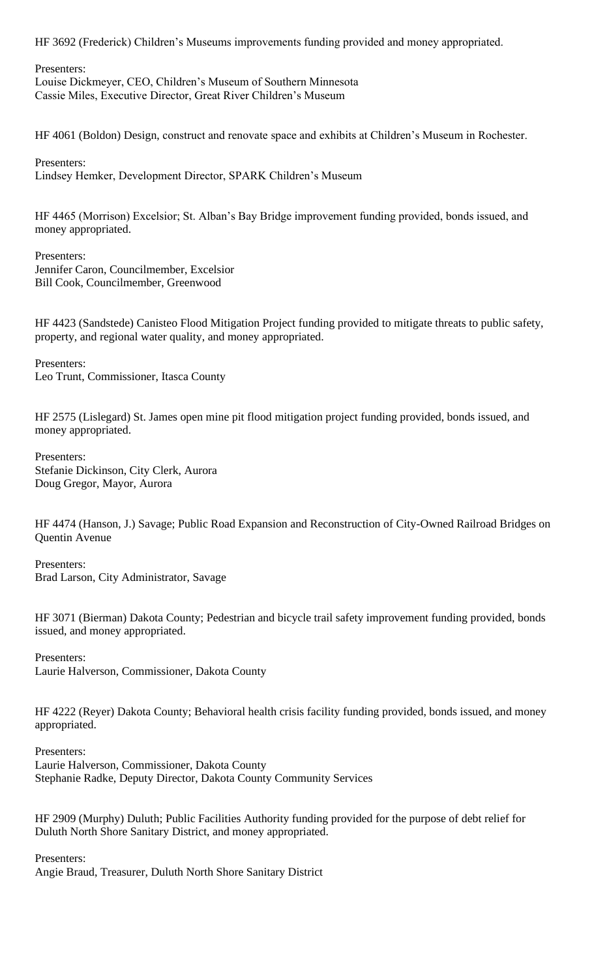HF 3692 (Frederick) Children's Museums improvements funding provided and money appropriated.

Presenters: Louise Dickmeyer, CEO, Children's Museum of Southern Minnesota Cassie Miles, Executive Director, Great River Children's Museum

HF 4061 (Boldon) Design, construct and renovate space and exhibits at Children's Museum in Rochester.

Presenters: Lindsey Hemker, Development Director, SPARK Children's Museum

HF 4465 (Morrison) Excelsior; St. Alban's Bay Bridge improvement funding provided, bonds issued, and money appropriated.

Presenters: Jennifer Caron, Councilmember, Excelsior Bill Cook, Councilmember, Greenwood

HF 4423 (Sandstede) Canisteo Flood Mitigation Project funding provided to mitigate threats to public safety, property, and regional water quality, and money appropriated.

Presenters: Leo Trunt, Commissioner, Itasca County

HF 2575 (Lislegard) St. James open mine pit flood mitigation project funding provided, bonds issued, and money appropriated.

Presenters: Stefanie Dickinson, City Clerk, Aurora Doug Gregor, Mayor, Aurora

HF 4474 (Hanson, J.) Savage; Public Road Expansion and Reconstruction of City-Owned Railroad Bridges on Quentin Avenue

Presenters: Brad Larson, City Administrator, Savage

HF 3071 (Bierman) Dakota County; Pedestrian and bicycle trail safety improvement funding provided, bonds issued, and money appropriated.

Presenters: Laurie Halverson, Commissioner, Dakota County

HF 4222 (Reyer) Dakota County; Behavioral health crisis facility funding provided, bonds issued, and money appropriated.

Presenters: Laurie Halverson, Commissioner, Dakota County Stephanie Radke, Deputy Director, Dakota County Community Services

HF 2909 (Murphy) Duluth; Public Facilities Authority funding provided for the purpose of debt relief for Duluth North Shore Sanitary District, and money appropriated.

Presenters:

Angie Braud, Treasurer, Duluth North Shore Sanitary District